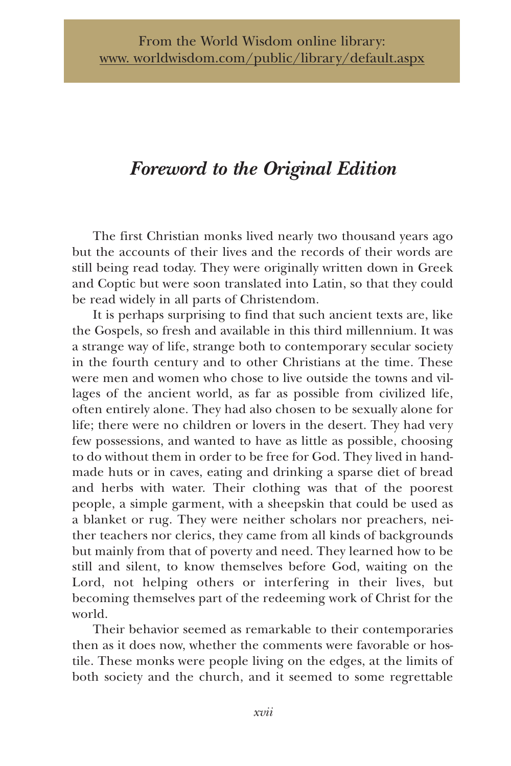# *Foreword to the Original Edition*

The first Christian monks lived nearly two thousand years ago but the accounts of their lives and the records of their words are still being read today. They were originally written down in Greek and Coptic but were soon translated into Latin, so that they could be read widely in all parts of Christendom.

It is perhaps surprising to find that such ancient texts are, like the Gospels, so fresh and available in this third millennium. It was a strange way of life, strange both to contemporary secular society in the fourth century and to other Christians at the time. These were men and women who chose to live outside the towns and villages of the ancient world, as far as possible from civilized life, often entirely alone. They had also chosen to be sexually alone for life; there were no children or lovers in the desert. They had very few possessions, and wanted to have as little as possible, choosing to do without them in order to be free for God. They lived in handmade huts or in caves, eating and drinking a sparse diet of bread and herbs with water. Their clothing was that of the poorest people, a simple garment, with a sheepskin that could be used as a blanket or rug. They were neither scholars nor preachers, neither teachers nor clerics, they came from all kinds of backgrounds but mainly from that of poverty and need. They learned how to be still and silent, to know themselves before God, waiting on the Lord, not helping others or interfering in their lives, but becoming themselves part of the redeeming work of Christ for the world.

Their behavior seemed as remarkable to their contemporaries then as it does now, whether the comments were favorable or hostile. These monks were people living on the edges, at the limits of both society and the church, and it seemed to some regrettable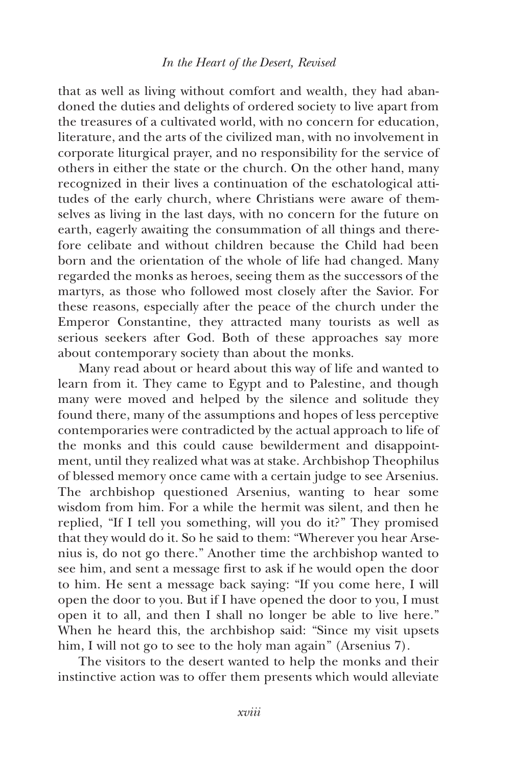## *In the Heart of the Desert, Revised*

that as well as living without comfort and wealth, they had abandoned the duties and delights of ordered society to live apart from the treasures of a cultivated world, with no concern for education, literature, and the arts of the civilized man, with no involvement in corporate liturgical prayer, and no responsibility for the service of others in either the state or the church. On the other hand, many recognized in their lives a continuation of the eschatological attitudes of the early church, where Christians were aware of themselves as living in the last days, with no concern for the future on earth, eagerly awaiting the consummation of all things and therefore celibate and without children because the Child had been born and the orientation of the whole of life had changed. Many regarded the monks as heroes, seeing them as the successors of the martyrs, as those who followed most closely after the Savior. For these reasons, especially after the peace of the church under the Emperor Constantine, they attracted many tourists as well as serious seekers after God. Both of these approaches say more about contemporary society than about the monks.

Many read about or heard about this way of life and wanted to learn from it. They came to Egypt and to Palestine, and though many were moved and helped by the silence and solitude they found there, many of the assumptions and hopes of less perceptive contemporaries were contradicted by the actual approach to life of the monks and this could cause bewilderment and disappointment, until they realized what was at stake. Archbishop Theophilus of blessed memory once came with a certain judge to see Arsenius. The archbishop questioned Arsenius, wanting to hear some wisdom from him. For a while the hermit was silent, and then he replied, "If I tell you something, will you do it?" They promised that they would do it. So he said to them: "Wherever you hear Arsenius is, do not go there." Another time the archbishop wanted to see him, and sent a message first to ask if he would open the door to him. He sent a message back saying: "If you come here, I will open the door to you. But if I have opened the door to you, I must open it to all, and then I shall no longer be able to live here." When he heard this, the archbishop said: "Since my visit upsets him, I will not go to see to the holy man again" (Arsenius 7).

The visitors to the desert wanted to help the monks and their instinctive action was to offer them presents which would alleviate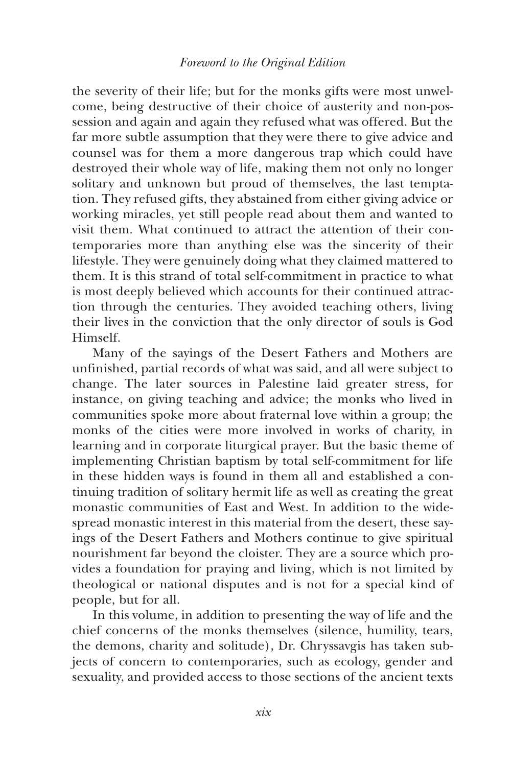the severity of their life; but for the monks gifts were most unwelcome, being destructive of their choice of austerity and non-possession and again and again they refused what was offered. But the far more subtle assumption that they were there to give advice and counsel was for them a more dangerous trap which could have destroyed their whole way of life, making them not only no longer solitary and unknown but proud of themselves, the last temptation. They refused gifts, they abstained from either giving advice or working miracles, yet still people read about them and wanted to visit them. What continued to attract the attention of their contemporaries more than anything else was the sincerity of their lifestyle. They were genuinely doing what they claimed mattered to them. It is this strand of total self-commitment in practice to what is most deeply believed which accounts for their continued attraction through the centuries. They avoided teaching others, living their lives in the conviction that the only director of souls is God Himself.

Many of the sayings of the Desert Fathers and Mothers are unfinished, partial records of what was said, and all were subject to change. The later sources in Palestine laid greater stress, for instance, on giving teaching and advice; the monks who lived in communities spoke more about fraternal love within a group; the monks of the cities were more involved in works of charity, in learning and in corporate liturgical prayer. But the basic theme of implementing Christian baptism by total self-commitment for life in these hidden ways is found in them all and established a continuing tradition of solitary hermit life as well as creating the great monastic communities of East and West. In addition to the widespread monastic interest in this material from the desert, these sayings of the Desert Fathers and Mothers continue to give spiritual nourishment far beyond the cloister. They are a source which provides a foundation for praying and living, which is not limited by theological or national disputes and is not for a special kind of people, but for all.

In this volume, in addition to presenting the way of life and the chief concerns of the monks themselves (silence, humility, tears, the demons, charity and solitude), Dr. Chryssavgis has taken subjects of concern to contemporaries, such as ecology, gender and sexuality, and provided access to those sections of the ancient texts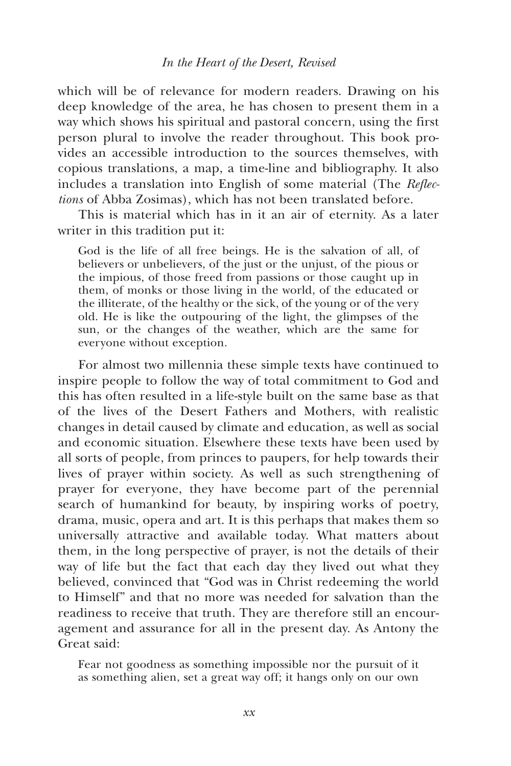#### *In the Heart of the Desert, Revised*

which will be of relevance for modern readers. Drawing on his deep knowledge of the area, he has chosen to present them in a way which shows his spiritual and pastoral concern, using the first person plural to involve the reader throughout. This book provides an accessible introduction to the sources themselves, with copious translations, a map, a time-line and bibliography. It also includes a translation into English of some material (The *Reflections* of Abba Zosimas), which has not been translated before.

This is material which has in it an air of eternity. As a later writer in this tradition put it:

God is the life of all free beings. He is the salvation of all, of believers or unbelievers, of the just or the unjust, of the pious or the impious, of those freed from passions or those caught up in them, of monks or those living in the world, of the educated or the illiterate, of the healthy or the sick, of the young or of the very old. He is like the outpouring of the light, the glimpses of the sun, or the changes of the weather, which are the same for everyone without exception.

For almost two millennia these simple texts have continued to inspire people to follow the way of total commitment to God and this has often resulted in a life-style built on the same base as that of the lives of the Desert Fathers and Mothers, with realistic changes in detail caused by climate and education, as well as social and economic situation. Elsewhere these texts have been used by all sorts of people, from princes to paupers, for help towards their lives of prayer within society. As well as such strengthening of prayer for everyone, they have become part of the perennial search of humankind for beauty, by inspiring works of poetry, drama, music, opera and art. It is this perhaps that makes them so universally attractive and available today. What matters about them, in the long perspective of prayer, is not the details of their way of life but the fact that each day they lived out what they believed, convinced that "God was in Christ redeeming the world to Himself" and that no more was needed for salvation than the readiness to receive that truth. They are therefore still an encouragement and assurance for all in the present day. As Antony the Great said:

Fear not goodness as something impossible nor the pursuit of it as something alien, set a great way off; it hangs only on our own